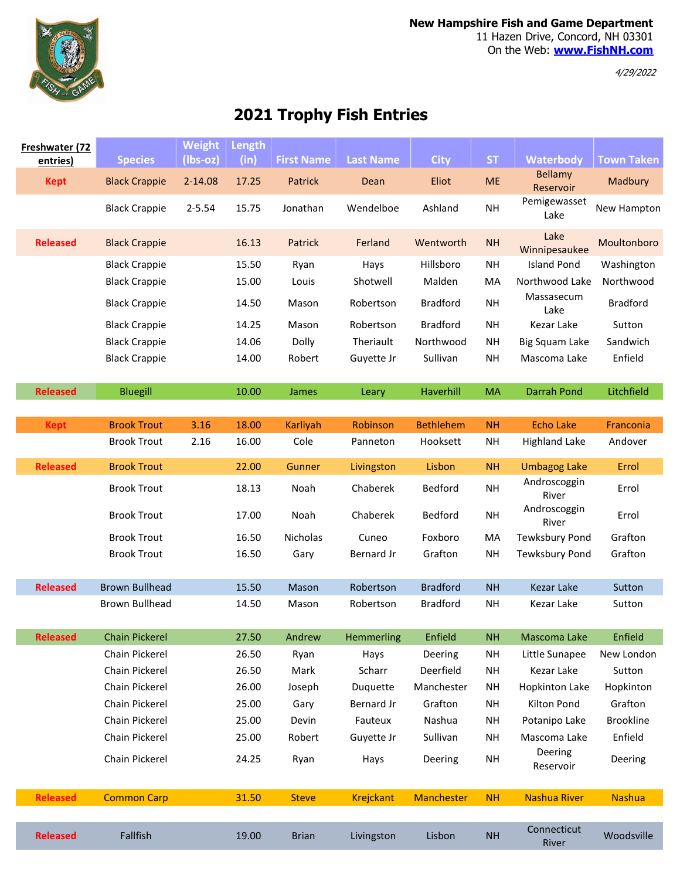

4/29/2022

## 2021 Trophy Fish Entries

| Freshwater (72<br>entries) | <b>Species</b>        | <b>Weight</b><br>$(lbs-oz)$ | Length<br>(in) | <b>First Name</b> | <b>Last Name</b> | <b>City</b>       | <b>ST</b> | <b>Waterbody</b>      | <b>Town Taken</b> |
|----------------------------|-----------------------|-----------------------------|----------------|-------------------|------------------|-------------------|-----------|-----------------------|-------------------|
|                            |                       |                             |                |                   |                  |                   |           | <b>Bellamy</b>        |                   |
| <b>Kept</b>                | <b>Black Crappie</b>  | 2-14.08                     | 17.25          | Patrick           | Dean             | Eliot             | <b>ME</b> | Reservoir             | Madbury           |
|                            | <b>Black Crappie</b>  | $2 - 5.54$                  | 15.75          | Jonathan          | Wendelboe        | Ashland           | <b>NH</b> | Pemigewasset<br>Lake  | New Hampton       |
| <b>Released</b>            | <b>Black Crappie</b>  |                             | 16.13          | Patrick           | Ferland          | Wentworth         | <b>NH</b> | Lake<br>Winnipesaukee | Moultonboro       |
|                            | <b>Black Crappie</b>  |                             | 15.50          | Ryan              | Hays             | Hillsboro         | <b>NH</b> | <b>Island Pond</b>    | Washington        |
|                            | <b>Black Crappie</b>  |                             | 15.00          | Louis             | Shotwell         | Malden            | MA        | Northwood Lake        | Northwood         |
|                            | <b>Black Crappie</b>  |                             | 14.50          | Mason             | Robertson        | <b>Bradford</b>   | <b>NH</b> | Massasecum<br>Lake    | <b>Bradford</b>   |
|                            | <b>Black Crappie</b>  |                             | 14.25          | Mason             | Robertson        | <b>Bradford</b>   | NH        | Kezar Lake            | Sutton            |
|                            | <b>Black Crappie</b>  |                             | 14.06          | Dolly             | Theriault        | Northwood         | NΗ        | <b>Big Squam Lake</b> | Sandwich          |
|                            | <b>Black Crappie</b>  |                             | 14.00          | Robert            | Guyette Jr       | Sullivan          | <b>NH</b> | Mascoma Lake          | Enfield           |
| <b>Released</b>            | <b>Bluegill</b>       |                             | 10.00          | James             | Leary            | Haverhill         | <b>MA</b> | <b>Darrah Pond</b>    | Litchfield        |
|                            |                       |                             |                |                   |                  |                   |           |                       |                   |
| <b>Kept</b>                | <b>Brook Trout</b>    | 3.16                        | 18.00          | Karliyah          | Robinson         | <b>Bethlehem</b>  | <b>NH</b> | <b>Echo Lake</b>      | Franconia         |
|                            | <b>Brook Trout</b>    | 2.16                        | 16.00          | Cole              | Panneton         | Hooksett          | NΗ        | <b>Highland Lake</b>  | Andover           |
| <b>Released</b>            | <b>Brook Trout</b>    |                             | 22.00          | Gunner            | Livingston       | Lisbon            | <b>NH</b> | <b>Umbagog Lake</b>   | Errol             |
|                            | <b>Brook Trout</b>    |                             | 18.13          | Noah              | Chaberek         | Bedford           | <b>NH</b> | Androscoggin<br>River | Errol             |
|                            | <b>Brook Trout</b>    |                             | 17.00          | Noah              | Chaberek         | Bedford           | <b>NH</b> | Androscoggin<br>River | Errol             |
|                            | <b>Brook Trout</b>    |                             | 16.50          | Nicholas          | Cuneo            | Foxboro           | MA        | <b>Tewksbury Pond</b> | Grafton           |
|                            | <b>Brook Trout</b>    |                             | 16.50          | Gary              | Bernard Jr       | Grafton           | <b>NH</b> | <b>Tewksbury Pond</b> | Grafton           |
| <b>Released</b>            | <b>Brown Bullhead</b> |                             | 15.50          | Mason             | Robertson        | <b>Bradford</b>   | <b>NH</b> | <b>Kezar Lake</b>     | Sutton            |
|                            | <b>Brown Bullhead</b> |                             | 14.50          | Mason             | Robertson        | <b>Bradford</b>   | <b>NH</b> | Kezar Lake            | Sutton            |
| <b>Released</b>            | <b>Chain Pickerel</b> |                             | 27.50          | Andrew            | Hemmerling       | Enfield           | <b>NH</b> | Mascoma Lake          | Enfield           |
|                            | Chain Pickerel        |                             | 26.50          | Ryan              | Hays             | Deering           | NΗ        | Little Sunapee        | New London        |
|                            | Chain Pickerel        |                             | 26.50          | Mark              | Scharr           | Deerfield         | <b>NH</b> | Kezar Lake            | Sutton            |
|                            | Chain Pickerel        |                             | 26.00          | Joseph            | Duquette         | Manchester        | NΗ        | <b>Hopkinton Lake</b> | Hopkinton         |
|                            | Chain Pickerel        |                             | 25.00          | Gary              | Bernard Jr       | Grafton           | <b>NH</b> | Kilton Pond           | Grafton           |
|                            | Chain Pickerel        |                             | 25.00          | Devin             | Fauteux          | Nashua            | NH        | Potanipo Lake         | <b>Brookline</b>  |
|                            | Chain Pickerel        |                             | 25.00          | Robert            | Guyette Jr       | Sullivan          | <b>NH</b> | Mascoma Lake          | Enfield           |
|                            | Chain Pickerel        |                             | 24.25          | Ryan              | Hays             | Deering           | NH        | Deering<br>Reservoir  | Deering           |
| <b>Released</b>            | <b>Common Carp</b>    |                             | 31.50          | <b>Steve</b>      | <b>Krejckant</b> | <b>Manchester</b> | <b>NH</b> | <b>Nashua River</b>   | <b>Nashua</b>     |
|                            |                       |                             |                |                   |                  |                   |           |                       |                   |
| <b>Released</b>            | Fallfish              |                             | 19.00          | <b>Brian</b>      | Livingston       | Lisbon            | <b>NH</b> | Connecticut<br>River  | Woodsville        |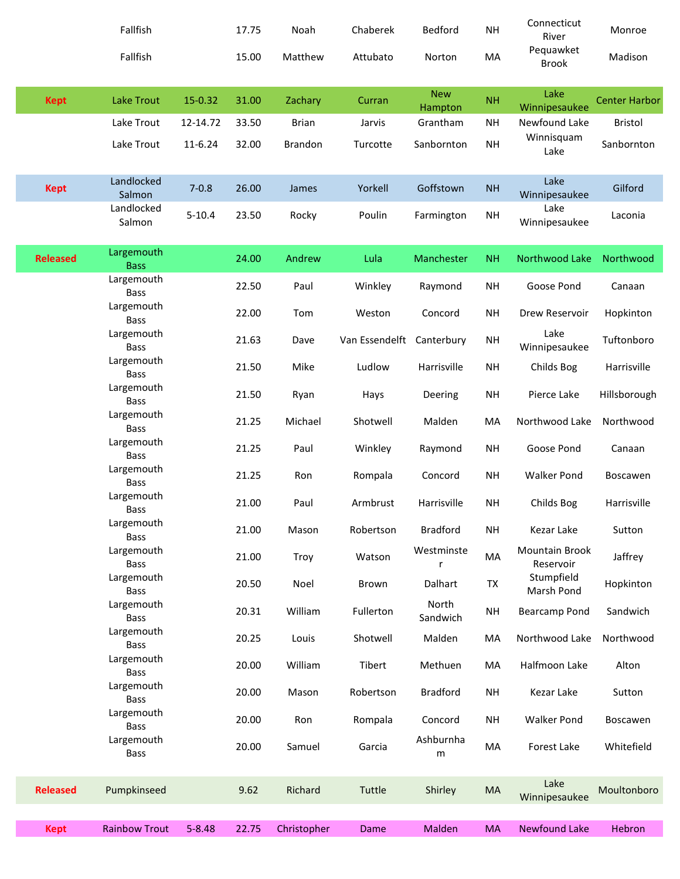|                 | Fallfish                                |            | 17.75 | Noah           | Chaberek                  | Bedford                       | <b>NH</b> | Connecticut<br>River                | Monroe               |
|-----------------|-----------------------------------------|------------|-------|----------------|---------------------------|-------------------------------|-----------|-------------------------------------|----------------------|
|                 | Fallfish                                |            | 15.00 | Matthew        | Attubato                  | Norton                        | MA        | Pequawket<br><b>Brook</b>           | Madison              |
| <b>Kept</b>     | <b>Lake Trout</b>                       | 15-0.32    | 31.00 | Zachary        | Curran                    | <b>New</b><br>Hampton         | <b>NH</b> | Lake<br>Winnipesaukee               | <b>Center Harbor</b> |
|                 | Lake Trout                              | 12-14.72   | 33.50 | <b>Brian</b>   | Jarvis                    | Grantham                      | <b>NH</b> | Newfound Lake                       | <b>Bristol</b>       |
|                 | Lake Trout                              | 11-6.24    | 32.00 | <b>Brandon</b> | Turcotte                  | Sanbornton                    | <b>NH</b> | Winnisquam<br>Lake                  | Sanbornton           |
| <b>Kept</b>     | Landlocked<br>Salmon                    | $7 - 0.8$  | 26.00 | James          | Yorkell                   | Goffstown                     | <b>NH</b> | Lake<br>Winnipesaukee               | Gilford              |
|                 | Landlocked<br>Salmon                    | $5 - 10.4$ | 23.50 | Rocky          | Poulin                    | Farmington                    | <b>NH</b> | Lake<br>Winnipesaukee               | Laconia              |
| <b>Released</b> | Largemouth<br><b>Bass</b>               |            | 24.00 | Andrew         | Lula                      | Manchester                    | <b>NH</b> | Northwood Lake                      | Northwood            |
|                 | Largemouth<br><b>Bass</b>               |            | 22.50 | Paul           | Winkley                   | Raymond                       | <b>NH</b> | Goose Pond                          | Canaan               |
|                 | Largemouth<br>Bass                      |            | 22.00 | Tom            | Weston                    | Concord                       | <b>NH</b> | Drew Reservoir                      | Hopkinton            |
|                 | Largemouth<br><b>Bass</b>               |            | 21.63 | Dave           | Van Essendelft Canterbury |                               | <b>NH</b> | Lake<br>Winnipesaukee               | Tuftonboro           |
|                 | Largemouth<br><b>Bass</b>               |            | 21.50 | Mike           | Ludlow                    | Harrisville                   | <b>NH</b> | Childs Bog                          | Harrisville          |
|                 | Largemouth<br><b>Bass</b>               |            | 21.50 | Ryan           | Hays                      | Deering                       | <b>NH</b> | Pierce Lake                         | Hillsborough         |
|                 | Largemouth<br>Bass                      |            | 21.25 | Michael        | Shotwell                  | Malden                        | MA        | Northwood Lake                      | Northwood            |
|                 | Largemouth<br><b>Bass</b>               |            | 21.25 | Paul           | Winkley                   | Raymond                       | <b>NH</b> | Goose Pond                          | Canaan               |
|                 | Largemouth<br><b>Bass</b>               |            | 21.25 | Ron            | Rompala                   | Concord                       | <b>NH</b> | <b>Walker Pond</b>                  | Boscawen             |
|                 | Largemouth<br><b>Bass</b>               |            | 21.00 | Paul           | Armbrust                  | Harrisville                   | <b>NH</b> | Childs Bog                          | Harrisville          |
|                 | Largemouth<br><b>Bass</b><br>Largemouth |            | 21.00 | Mason          | Robertson                 | <b>Bradford</b><br>Westminste | <b>NH</b> | Kezar Lake<br><b>Mountain Brook</b> | Sutton               |
|                 | <b>Bass</b><br>Largemouth               |            | 21.00 | Troy           | Watson                    | r                             | MA        | Reservoir<br>Stumpfield             | Jaffrey              |
|                 | <b>Bass</b><br>Largemouth               |            | 20.50 | Noel           | Brown                     | Dalhart<br>North              | TX        | Marsh Pond                          | Hopkinton            |
|                 | <b>Bass</b><br>Largemouth               |            | 20.31 | William        | Fullerton                 | Sandwich                      | <b>NH</b> | Bearcamp Pond                       | Sandwich             |
|                 | <b>Bass</b><br>Largemouth               |            | 20.25 | Louis          | Shotwell                  | Malden                        | MA        | Northwood Lake                      | Northwood            |
|                 | <b>Bass</b><br>Largemouth               |            | 20.00 | William        | Tibert                    | Methuen                       | MA        | Halfmoon Lake                       | Alton                |
|                 | <b>Bass</b>                             |            | 20.00 | Mason          | Robertson                 | <b>Bradford</b>               | <b>NH</b> | Kezar Lake                          | Sutton               |
|                 | Largemouth<br><b>Bass</b>               |            | 20.00 | Ron            | Rompala                   | Concord                       | <b>NH</b> | <b>Walker Pond</b>                  | Boscawen             |
|                 | Largemouth<br><b>Bass</b>               |            | 20.00 | Samuel         | Garcia                    | Ashburnha<br>m                | MA        | Forest Lake                         | Whitefield           |
| <b>Released</b> | Pumpkinseed                             |            | 9.62  | Richard        | Tuttle                    | Shirley                       | MA        | Lake<br>Winnipesaukee               | Moultonboro          |
| <b>Kept</b>     | <b>Rainbow Trout</b>                    | $5 - 8.48$ | 22.75 | Christopher    | Dame                      | Malden                        | <b>MA</b> | <b>Newfound Lake</b>                | Hebron               |